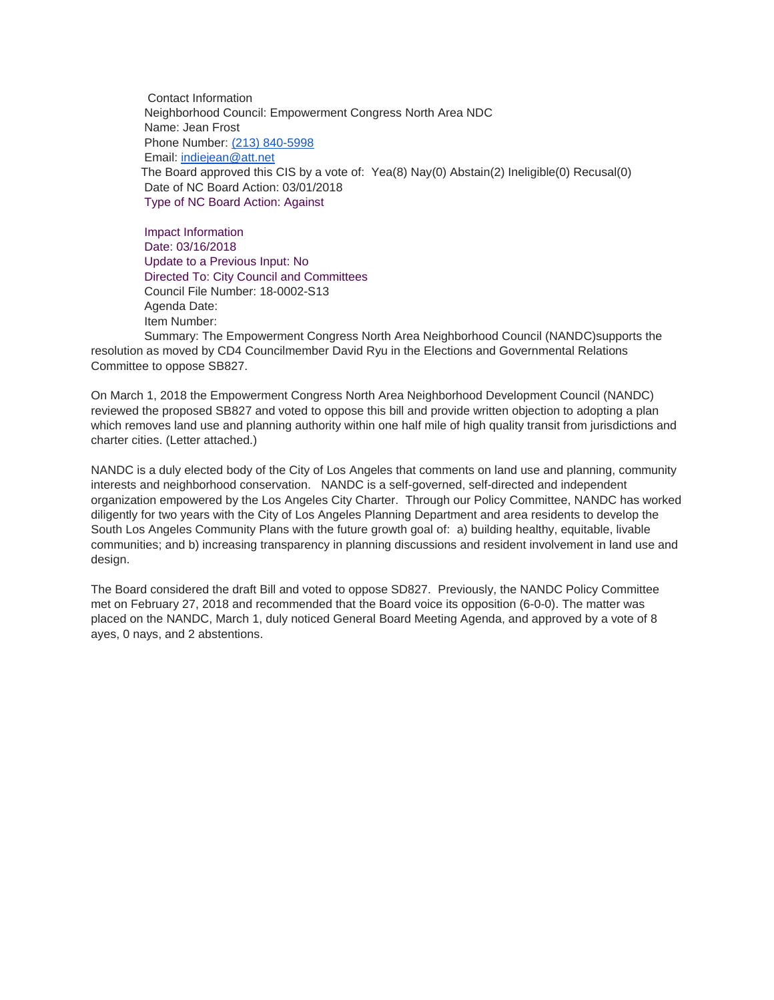Contact Information Neighborhood Council: Empowerment Congress North Area NDC Name: Jean Frost Phone Number: [\(213\) 840-5998](tel:%28213%29%20840-5998) Email: [indiejean@att.net](mailto:indiejean@att.net) The Board approved this CIS by a vote of: Yea(8) Nay(0) Abstain(2) Ineligible(0) Recusal(0) Date of NC Board Action: 03/01/2018 Type of NC Board Action: Against

Impact Information Date: 03/16/2018 Update to a Previous Input: No Directed To: City Council and Committees Council File Number: 18-0002-S13 Agenda Date: Item Number:

Summary: The Empowerment Congress North Area Neighborhood Council (NANDC)supports the resolution as moved by CD4 Councilmember David Ryu in the Elections and Governmental Relations Committee to oppose SB827.

On March 1, 2018 the Empowerment Congress North Area Neighborhood Development Council (NANDC) reviewed the proposed SB827 and voted to oppose this bill and provide written objection to adopting a plan which removes land use and planning authority within one half mile of high quality transit from jurisdictions and charter cities. (Letter attached.)

NANDC is a duly elected body of the City of Los Angeles that comments on land use and planning, community interests and neighborhood conservation. NANDC is a self-governed, self-directed and independent organization empowered by the Los Angeles City Charter. Through our Policy Committee, NANDC has worked diligently for two years with the City of Los Angeles Planning Department and area residents to develop the South Los Angeles Community Plans with the future growth goal of: a) building healthy, equitable, livable communities; and b) increasing transparency in planning discussions and resident involvement in land use and design.

The Board considered the draft Bill and voted to oppose SD827. Previously, the NANDC Policy Committee met on February 27, 2018 and recommended that the Board voice its opposition (6-0-0). The matter was placed on the NANDC, March 1, duly noticed General Board Meeting Agenda, and approved by a vote of 8 ayes, 0 nays, and 2 abstentions.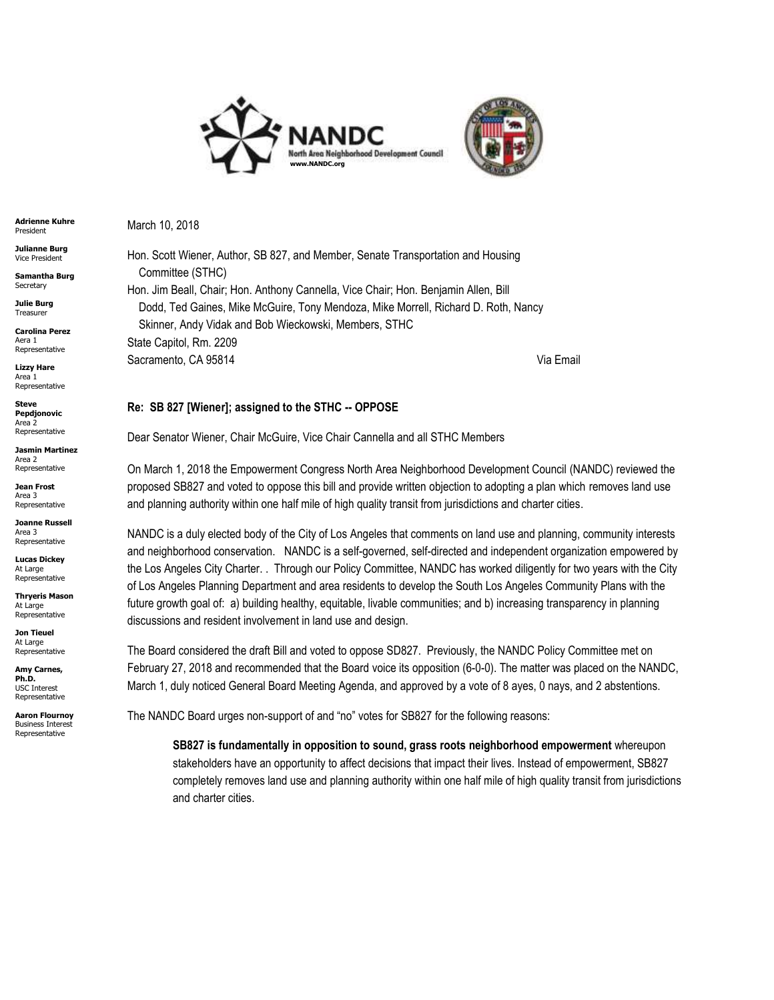



March 10, 2018

Hon. Scott Wiener, Author, SB 827, and Member, Senate Transportation and Housing Committee (STHC) Hon. Jim Beall, Chair; Hon. Anthony Cannella, Vice Chair; Hon. Benjamin Allen, Bill Dodd, Ted Gaines, Mike McGuire, Tony Mendoza, Mike Morrell, Richard D. Roth, Nancy Skinner, Andy Vidak and Bob Wieckowski, Members, STHC State Capitol, Rm. 2209 Sacramento, CA 95814 Via Email

**Re: SB 827 [Wiener]; assigned to the STHC -- OPPOSE**

Dear Senator Wiener, Chair McGuire, Vice Chair Cannella and all STHC Members

On March 1, 2018 the Empowerment Congress North Area Neighborhood Development Council (NANDC) reviewed the proposed SB827 and voted to oppose this bill and provide written objection to adopting a plan which removes land use and planning authority within one half mile of high quality transit from jurisdictions and charter cities.

NANDC is a duly elected body of the City of Los Angeles that comments on land use and planning, community interests and neighborhood conservation. NANDC is a self-governed, self-directed and independent organization empowered by the Los Angeles City Charter. . Through our Policy Committee, NANDC has worked diligently for two years with the City of Los Angeles Planning Department and area residents to develop the South Los Angeles Community Plans with the future growth goal of: a) building healthy, equitable, livable communities; and b) increasing transparency in planning discussions and resident involvement in land use and design.

The Board considered the draft Bill and voted to oppose SD827. Previously, the NANDC Policy Committee met on February 27, 2018 and recommended that the Board voice its opposition (6-0-0). The matter was placed on the NANDC, March 1, duly noticed General Board Meeting Agenda, and approved by a vote of 8 ayes, 0 nays, and 2 abstentions.

The NANDC Board urges non-support of and "no" votes for SB827 for the following reasons:

**SB827 is fundamentally in opposition to sound, grass roots neighborhood empowerment** whereupon stakeholders have an opportunity to affect decisions that impact their lives. Instead of empowerment, SB827 completely removes land use and planning authority within one half mile of high quality transit from jurisdictions and charter cities.

**Adrienne Kuhre** President

**Julianne Burg** Vice President **Samantha Burg**

Secretary **Julie Burg**

**Treasurer** 

**Carolina Perez** Aera 1 Representative

**Lizzy Hare** Area 1 Representative

**Steve Pepdjonovic**

Area 2 Representative **Jasmin Martinez**

Area 2 Representative

**Jean Frost** Area 3 Representative

**Joanne Russell** Area 3 Representative

**Lucas Dickey** At Large<br>Representative

**Thryeris Mason** At Large Representative

**Jon Tieuel** At Large Representative

**Amy Carnes, Ph.D.** USC Interest Representative

**Aaron Flournoy** Business Interest Representative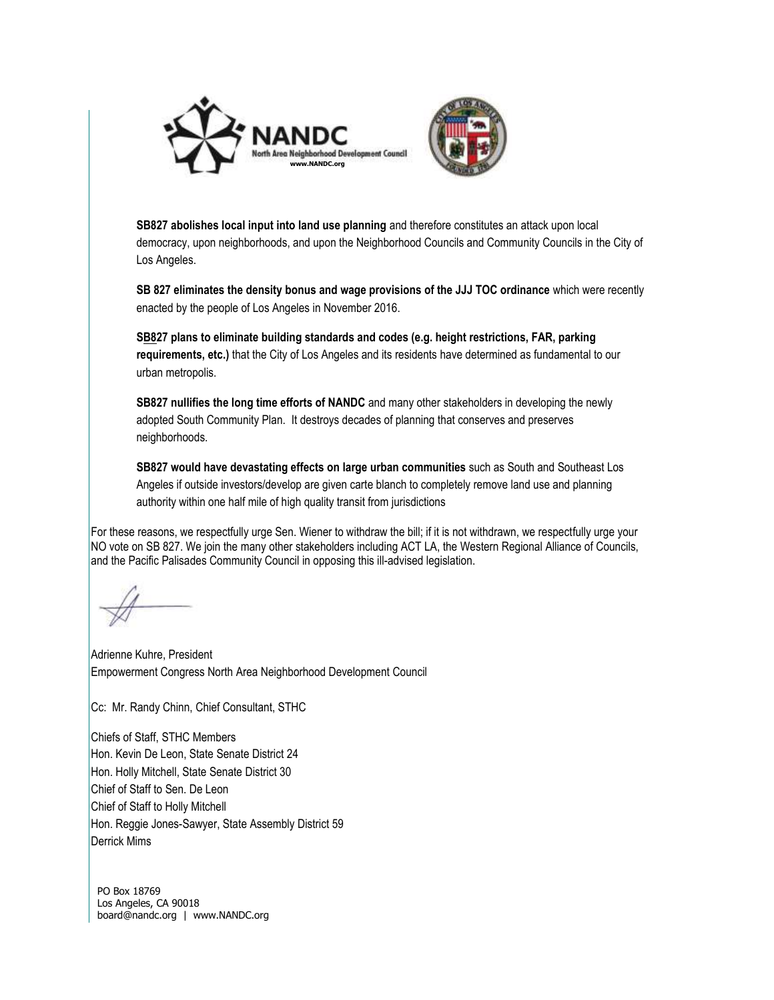



**SB827 abolishes local input into land use planning** and therefore constitutes an attack upon local democracy, upon neighborhoods, and upon the Neighborhood Councils and Community Councils in the City of Los Angeles.

**SB 827 eliminates the density bonus and wage provisions of the JJJ TOC ordinance** which were recently enacted by the people of Los Angeles in November 2016.

**SB827 plans to eliminate building standards and codes (e.g. height restrictions, FAR, parking requirements, etc.)** that the City of Los Angeles and its residents have determined as fundamental to our urban metropolis.

**SB827 nullifies the long time efforts of NANDC** and many other stakeholders in developing the newly adopted South Community Plan. It destroys decades of planning that conserves and preserves neighborhoods.

**SB827 would have devastating effects on large urban communities** such as South and Southeast Los Angeles if outside investors/develop are given carte blanch to completely remove land use and planning authority within one half mile of high quality transit from jurisdictions

For these reasons, we respectfully urge Sen. Wiener to withdraw the bill; if it is not withdrawn, we respectfully urge your NO vote on SB 827. We join the many other stakeholders including ACT LA, the Western Regional Alliance of Councils, and the Pacific Palisades Community Council in opposing this ill-advised legislation.

Adrienne Kuhre, President Empowerment Congress North Area Neighborhood Development Council

Cc: Mr. Randy Chinn, Chief Consultant, STHC

Chiefs of Staff, STHC Members Hon. Kevin De Leon, State Senate District 24 Hon. Holly Mitchell, State Senate District 30 Chief of Staff to Sen. De Leon Chief of Staff to Holly Mitchell Hon. Reggie Jones-Sawyer, State Assembly District 59 Derrick Mims

PO Box 18769 Los Angeles, CA 90018 board@nandc.org | www.NANDC.org